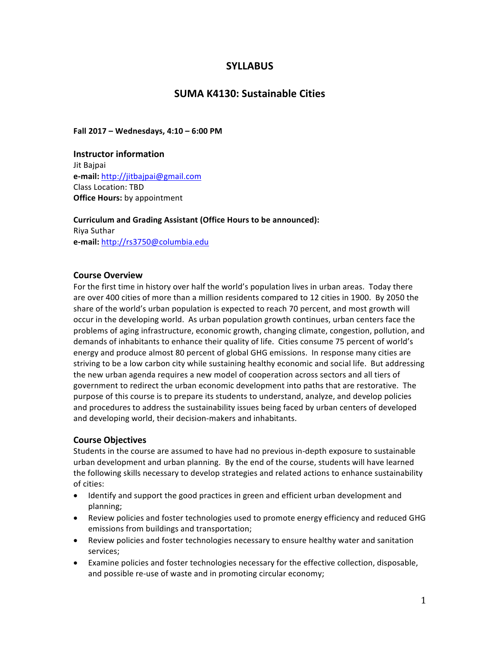# **SYLLABUS**

# **SUMA K4130: Sustainable Cities**

**Fall 2017 – Wednesdays, 4:10 – 6:00 PM**

**Instructor information** Jit Bajpai **e-mail:** http://jitbajpai@gmail.com Class Location: TBD **Office Hours:** by appointment

**Curriculum and Grading Assistant (Office Hours to be announced):** Riya Suthar **e-mail:** http://rs3750@columbia.edu

### **Course Overview**

For the first time in history over half the world's population lives in urban areas. Today there are over 400 cities of more than a million residents compared to 12 cities in 1900. By 2050 the share of the world's urban population is expected to reach 70 percent, and most growth will occur in the developing world. As urban population growth continues, urban centers face the problems of aging infrastructure, economic growth, changing climate, congestion, pollution, and demands of inhabitants to enhance their quality of life. Cities consume 75 percent of world's energy and produce almost 80 percent of global GHG emissions. In response many cities are striving to be a low carbon city while sustaining healthy economic and social life. But addressing the new urban agenda requires a new model of cooperation across sectors and all tiers of government to redirect the urban economic development into paths that are restorative. The purpose of this course is to prepare its students to understand, analyze, and develop policies and procedures to address the sustainability issues being faced by urban centers of developed and developing world, their decision-makers and inhabitants.

### **Course Objectives**

Students in the course are assumed to have had no previous in-depth exposure to sustainable urban development and urban planning. By the end of the course, students will have learned the following skills necessary to develop strategies and related actions to enhance sustainability of cities:

- Identify and support the good practices in green and efficient urban development and planning;
- Review policies and foster technologies used to promote energy efficiency and reduced GHG emissions from buildings and transportation;
- Review policies and foster technologies necessary to ensure healthy water and sanitation services;
- Examine policies and foster technologies necessary for the effective collection, disposable, and possible re-use of waste and in promoting circular economy;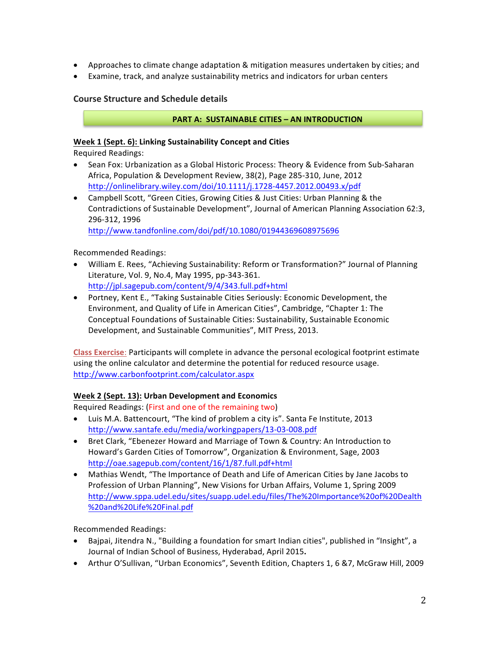- Approaches to climate change adaptation & mitigation measures undertaken by cities; and
- Examine, track, and analyze sustainability metrics and indicators for urban centers

### **Course Structure and Schedule details**

#### **PART A: SUSTAINABLE CITIES - AN INTRODUCTION**

#### **Week 1 (Sept. 6): Linking Sustainability Concept and Cities**

Required Readings: 

- Sean Fox: Urbanization as a Global Historic Process: Theory & Evidence from Sub-Saharan Africa, Population & Development Review, 38(2), Page 285-310, June, 2012 http://onlinelibrary.wiley.com/doi/10.1111/j.1728-4457.2012.00493.x/pdf
- Campbell Scott, "Green Cities, Growing Cities & Just Cities: Urban Planning & the Contradictions of Sustainable Development", Journal of American Planning Association 62:3, 296-312, 1996

http://www.tandfonline.com/doi/pdf/10.1080/01944369608975696

Recommended Readings:

- William E. Rees, "Achieving Sustainability: Reform or Transformation?" Journal of Planning Literature, Vol. 9, No.4, May 1995, pp-343-361. http://jpl.sagepub.com/content/9/4/343.full.pdf+html
- Portney, Kent E., "Taking Sustainable Cities Seriously: Economic Development, the Environment, and Quality of Life in American Cities", Cambridge, "Chapter 1: The Conceptual Foundations of Sustainable Cities: Sustainability, Sustainable Economic Development, and Sustainable Communities", MIT Press, 2013.

**Class Exercise**: Participants will complete in advance the personal ecological footprint estimate using the online calculator and determine the potential for reduced resource usage. http://www.carbonfootprint.com/calculator.aspx

### **Week 2 (Sept. 13): Urban Development and Economics**

Required Readings: (First and one of the remaining two)

- Luis M.A. Battencourt, "The kind of problem a city is". Santa Fe Institute, 2013 http://www.santafe.edu/media/workingpapers/13-03-008.pdf
- Bret Clark, "Ebenezer Howard and Marriage of Town & Country: An Introduction to Howard's Garden Cities of Tomorrow", Organization & Environment, Sage, 2003 http://oae.sagepub.com/content/16/1/87.full.pdf+html
- Mathias Wendt, "The Importance of Death and Life of American Cities by Jane Jacobs to Profession of Urban Planning", New Visions for Urban Affairs, Volume 1, Spring 2009 http://www.sppa.udel.edu/sites/suapp.udel.edu/files/The%20Importance%20of%20Dealth %20and%20Life%20Final.pdf

Recommended Readings:

- Baipai, Jitendra N., "Building a foundation for smart Indian cities", published in "Insight", a Journal of Indian School of Business, Hyderabad, April 2015.
- Arthur O'Sullivan, "Urban Economics", Seventh Edition, Chapters 1, 6 & 7, McGraw Hill, 2009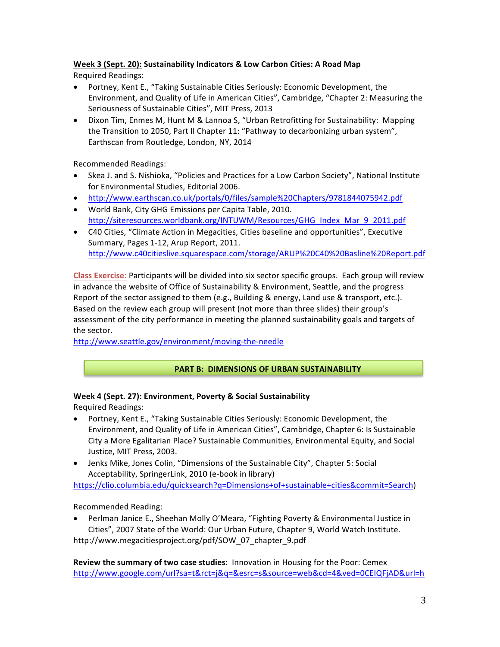## Week 3 (Sept. 20): Sustainability Indicators & Low Carbon Cities: A Road Map

Required Readings: 

- Portney, Kent E., "Taking Sustainable Cities Seriously: Economic Development, the Environment, and Quality of Life in American Cities", Cambridge, "Chapter 2: Measuring the Seriousness of Sustainable Cities", MIT Press, 2013
- Dixon Tim, Enmes M, Hunt M & Lannoa S, "Urban Retrofitting for Sustainability: Mapping the Transition to 2050, Part II Chapter 11: "Pathway to decarbonizing urban system", Earthscan from Routledge, London, NY, 2014

Recommended Readings:

- Skea J. and S. Nishioka, "Policies and Practices for a Low Carbon Society", National Institute for Environmental Studies, Editorial 2006.
- http://www.earthscan.co.uk/portals/0/files/sample%20Chapters/9781844075942.pdf
- World Bank, City GHG Emissions per Capita Table, 2010. http://siteresources.worldbank.org/INTUWM/Resources/GHG\_Index\_Mar\_9\_2011.pdf
- C40 Cities, "Climate Action in Megacities, Cities baseline and opportunities", Executive Summary, Pages 1-12, Arup Report, 2011. http://www.c40citieslive.squarespace.com/storage/ARUP%20C40%20Basline%20Report.pdf

**Class Exercise**: Participants will be divided into six sector specific groups. Each group will review in advance the website of Office of Sustainability & Environment, Seattle, and the progress Report of the sector assigned to them (e.g., Building & energy, Land use & transport, etc.). Based on the review each group will present (not more than three slides) their group's assessment of the city performance in meeting the planned sustainability goals and targets of the sector.

http://www.seattle.gov/environment/moving-the-needle

### **PART B: DIMENSIONS OF URBAN SUSTAINABILITY**

### **Week 4 (Sept. 27): Environment, Poverty & Social Sustainability**

Required Readings:

- Portney, Kent E., "Taking Sustainable Cities Seriously: Economic Development, the Environment, and Quality of Life in American Cities", Cambridge, Chapter 6: Is Sustainable City a More Egalitarian Place? Sustainable Communities, Environmental Equity, and Social Justice, MIT Press, 2003.
- Jenks Mike, Jones Colin, "Dimensions of the Sustainable City", Chapter 5: Social Acceptability, SpringerLink, 2010 (e-book in library)

https://clio.columbia.edu/quicksearch?q=Dimensions+of+sustainable+cities&commit=Search)

Recommended Reading:

• Perlman Janice E., Sheehan Molly O'Meara, "Fighting Poverty & Environmental Justice in Cities", 2007 State of the World: Our Urban Future, Chapter 9, World Watch Institute.

http://www.megacitiesproject.org/pdf/SOW\_07\_chapter\_9.pdf

**Review the summary of two case studies:** Innovation in Housing for the Poor: Cemex http://www.google.com/url?sa=t&rct=j&q=&esrc=s&source=web&cd=4&ved=0CEIQFjAD&url=h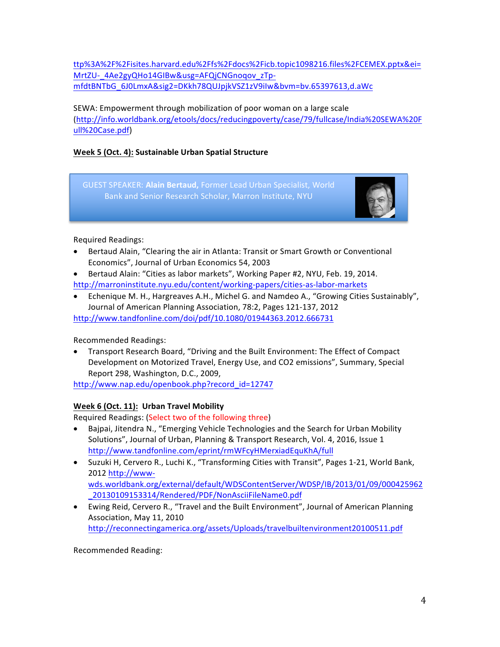ttp%3A%2F%2Fisites.harvard.edu%2Ffs%2Fdocs%2Ficb.topic1098216.files%2FCEMEX.pptx&ei= MrtZU-\_4Ae2gyQHo14GIBw&usg=AFQjCNGnoqov\_zTpmfdtBNTbG\_6J0LmxA&sig2=DKkh78QUJpjkVSZ1zV9iIw&bvm=bv.65397613,d.aWc

## SEWA: Empowerment through mobilization of poor woman on a large scale (http://info.worldbank.org/etools/docs/reducingpoverty/case/79/fullcase/India%20SEWA%20F ull%20Case.pdf)

## **Week 5 (Oct. 4): Sustainable Urban Spatial Structure**

GUEST SPEAKER: Alain Bertaud, Former Lead Urban Specialist, World Bank and Senior Research Scholar, Marron Institute, NYU



Required Readings:

- Bertaud Alain, "Clearing the air in Atlanta: Transit or Smart Growth or Conventional Economics", Journal of Urban Economics 54, 2003
- Bertaud Alain: "Cities as labor markets", Working Paper #2, NYU, Feb. 19, 2014. http://marroninstitute.nyu.edu/content/working-papers/cities-as-labor-markets
- Echenique M. H., Hargreaves A.H., Michel G. and Namdeo A., "Growing Cities Sustainably", Journal of American Planning Association, 78:2, Pages 121-137, 2012 http://www.tandfonline.com/doi/pdf/10.1080/01944363.2012.666731

Recommended Readings: 

• Transport Research Board, "Driving and the Built Environment: The Effect of Compact Development on Motorized Travel, Energy Use, and CO2 emissions", Summary, Special Report 298, Washington, D.C., 2009,

http://www.nap.edu/openbook.php?record\_id=12747

## **Week 6 (Oct. 11): Urban Travel Mobility**

Required Readings: (Select two of the following three)

- Bajpai, Jitendra N., "Emerging Vehicle Technologies and the Search for Urban Mobility Solutions", Journal of Urban, Planning & Transport Research, Vol. 4, 2016, Issue 1 http://www.tandfonline.com/eprint/rmWFcyHMerxiadEquKhA/full
- Suzuki H, Cervero R., Luchi K., "Transforming Cities with Transit", Pages 1-21, World Bank, 2012 http://wwwwds.worldbank.org/external/default/WDSContentServer/WDSP/IB/2013/01/09/000425962 \_20130109153314/Rendered/PDF/NonAsciiFileName0.pdf
- Ewing Reid, Cervero R., "Travel and the Built Environment", Journal of American Planning Association, May 11, 2010 http://reconnectingamerica.org/assets/Uploads/travelbuiltenvironment20100511.pdf

Recommended Reading: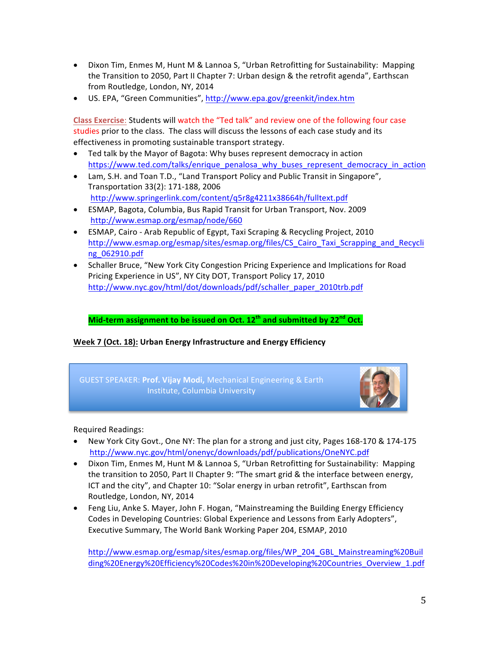- Dixon Tim, Enmes M, Hunt M & Lannoa S, "Urban Retrofitting for Sustainability: Mapping the Transition to 2050, Part II Chapter 7: Urban design & the retrofit agenda", Earthscan from Routledge, London, NY, 2014
- US. EPA, "Green Communities", http://www.epa.gov/greenkit/index.htm

**Class Exercise: Students will watch the "Ted talk" and review one of the following four case** studies prior to the class. The class will discuss the lessons of each case study and its effectiveness in promoting sustainable transport strategy.

- Ted talk by the Mayor of Bagota: Why buses represent democracy in action https://www.ted.com/talks/enrique\_penalosa\_why\_buses\_represent\_democracy\_in\_action
- Lam, S.H. and Toan T.D., "Land Transport Policy and Public Transit in Singapore", Transportation 33(2): 171-188, 2006 http://www.springerlink.com/content/q5r8g4211x38664h/fulltext.pdf
- ESMAP, Bagota, Columbia, Bus Rapid Transit for Urban Transport, Nov. 2009 http://www.esmap.org/esmap/node/660
- ESMAP, Cairo Arab Republic of Egypt, Taxi Scraping & Recycling Project, 2010 http://www.esmap.org/esmap/sites/esmap.org/files/CS\_Cairo\_Taxi\_Scrapping\_and\_Recycli ng\_062910.pdf
- Schaller Bruce, "New York City Congestion Pricing Experience and Implications for Road Pricing Experience in US", NY City DOT, Transport Policy 17, 2010 http://www.nyc.gov/html/dot/downloads/pdf/schaller\_paper\_2010trb.pdf

## **Mid-term** assignment to be issued on Oct. 12<sup>th</sup> and submitted by 22<sup>nd</sup> Oct.

### Week 7 (Oct. 18): Urban Energy Infrastructure and Energy Efficiency





Required Readings:

- New York City Govt., One NY: The plan for a strong and just city, Pages 168-170 & 174-175 http://www.nyc.gov/html/onenyc/downloads/pdf/publications/OneNYC.pdf
- Dixon Tim, Enmes M, Hunt M & Lannoa S, "Urban Retrofitting for Sustainability: Mapping the transition to 2050, Part II Chapter 9: "The smart grid & the interface between energy, ICT and the city", and Chapter 10: "Solar energy in urban retrofit", Earthscan from Routledge, London, NY, 2014
- Feng Liu, Anke S. Mayer, John F. Hogan, "Mainstreaming the Building Energy Efficiency Codes in Developing Countries: Global Experience and Lessons from Early Adopters", Executive Summary, The World Bank Working Paper 204, ESMAP, 2010

http://www.esmap.org/esmap/sites/esmap.org/files/WP\_204\_GBL\_Mainstreaming%20Buil ding%20Energy%20Efficiency%20Codes%20in%20Developing%20Countries\_Overview\_1.pdf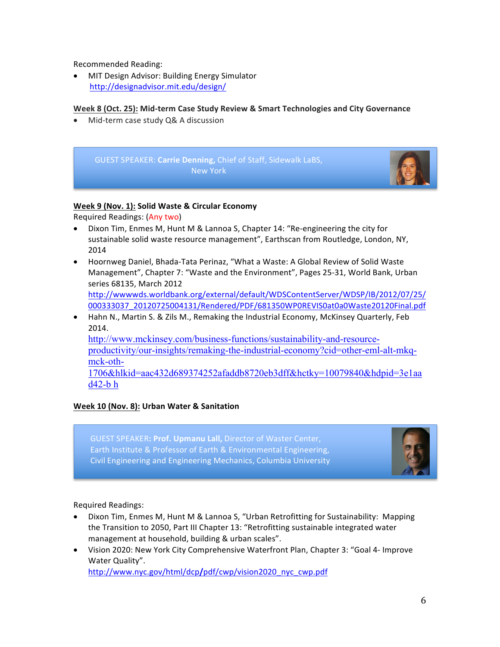Recommended Reading:

MIT Design Advisor: Building Energy Simulator http://designadvisor.mit.edu/design/

### Week 8 (Oct. 25): Mid-term Case Study Review & Smart Technologies and City Governance

Mid-term case study Q& A discussion



### **Week 9 (Nov. 1): Solid Waste & Circular Economy**

Required Readings: (Any two)

- Dixon Tim, Enmes M, Hunt M & Lannoa S, Chapter 14: "Re-engineering the city for sustainable solid waste resource management", Earthscan from Routledge, London, NY, 2014
- Hoornweg Daniel, Bhada-Tata Perinaz, "What a Waste: A Global Review of Solid Waste Management", Chapter 7: "Waste and the Environment", Pages 25-31, World Bank, Urban series 68135, March 2012 http://wwwwds.worldbank.org/external/default/WDSContentServer/WDSP/IB/2012/07/25/ 000333037\_20120725004131/Rendered/PDF/681350WP0REVIS0at0a0Waste20120Final.pdf
- Hahn N., Martin S. & Zils M., Remaking the Industrial Economy, McKinsey Quarterly, Feb 2014.

http://www.mckinsey.com/business-functions/sustainability-and-resourceproductivity/our-insights/remaking-the-industrial-economy?cid=other-eml-alt-mkqmck-oth-

1706&hlkid=aac432d689374252afaddb8720eb3dff&hctky=10079840&hdpid=3e1aa d42-b h

## **Week 10 (Nov. 8): Urban Water & Sanitation**

GUEST SPEAKER: Prof. Upmanu Lall, Director of Waster Center, Earth Institute & Professor of Earth & Environmental Engineering, Civil Engineering and Engineering Mechanics, Columbia University



Required Readings:

- Dixon Tim, Enmes M, Hunt M & Lannoa S, "Urban Retrofitting for Sustainability: Mapping the Transition to 2050, Part III Chapter 13: "Retrofitting sustainable integrated water management at household, building & urban scales".
- Vision 2020: New York City Comprehensive Waterfront Plan, Chapter 3: "Goal 4- Improve Water Quality".

http://www.nyc.gov/html/dcp**/**pdf/cwp/vision2020\_nyc\_cwp.pdf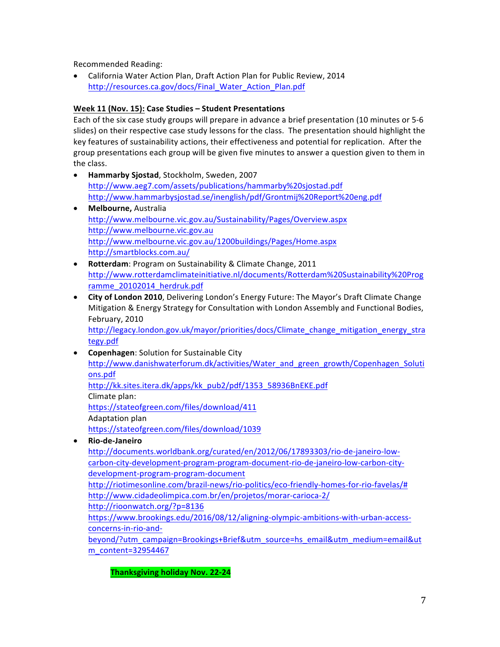Recommended Reading:

California Water Action Plan, Draft Action Plan for Public Review, 2014 http://resources.ca.gov/docs/Final\_Water\_Action\_Plan.pdf

### **Week 11 (Nov. 15): Case Studies – Student Presentations**

Each of the six case study groups will prepare in advance a brief presentation (10 minutes or 5-6 slides) on their respective case study lessons for the class. The presentation should highlight the key features of sustainability actions, their effectiveness and potential for replication. After the group presentations each group will be given five minutes to answer a question given to them in the class.

- **Hammarby Sjostad**, Stockholm, Sweden, 2007 http://www.aeg7.com/assets/publications/hammarby%20sjostad.pdf http://www.hammarbysjostad.se/inenglish/pdf/Grontmij%20Report%20eng.pdf
- **Melbourne,** Australia http://www.melbourne.vic.gov.au/Sustainability/Pages/Overview.aspx http://www.melbourne.vic.gov.au http://www.melbourne.vic.gov.au/1200buildings/Pages/Home.aspx http://smartblocks.com.au/
- Rotterdam: Program on Sustainability & Climate Change, 2011 http://www.rotterdamclimateinitiative.nl/documents/Rotterdam%20Sustainability%20Prog ramme 20102014 herdruk.pdf
- **City of London 2010**, Delivering London's Energy Future: The Mayor's Draft Climate Change Mitigation & Energy Strategy for Consultation with London Assembly and Functional Bodies, February, 2010

http://legacy.london.gov.uk/mayor/priorities/docs/Climate\_change\_mitigation\_energy\_stra tegy.pdf

- **Copenhagen:** Solution for Sustainable City http://www.danishwaterforum.dk/activities/Water\_and\_green\_growth/Copenhagen\_Soluti ons.pdf http://kk.sites.itera.dk/apps/kk\_pub2/pdf/1353\_58936BnEKE.pdf Climate plan: https://stateofgreen.com/files/download/411
	- Adaptation plan

https://stateofgreen.com/files/download/1039

• **Rio-de-Janeiro**

http://documents.worldbank.org/curated/en/2012/06/17893303/rio-de-janeiro-lowcarbon-city-development-program-program-document-rio-de-janeiro-low-carbon-citydevelopment-program-program-document

http://riotimesonline.com/brazil-news/rio-politics/eco-friendly-homes-for-rio-favelas/# http://www.cidadeolimpica.com.br/en/projetos/morar-carioca-2/

http://rioonwatch.org/?p=8136

https://www.brookings.edu/2016/08/12/aligning-olympic-ambitions-with-urban-accessconcerns-in-rio-and-

beyond/?utm\_campaign=Brookings+Brief&utm\_source=hs\_email&utm\_medium=email&ut m\_content=32954467

**Thanksgiving holiday Nov. 22-24**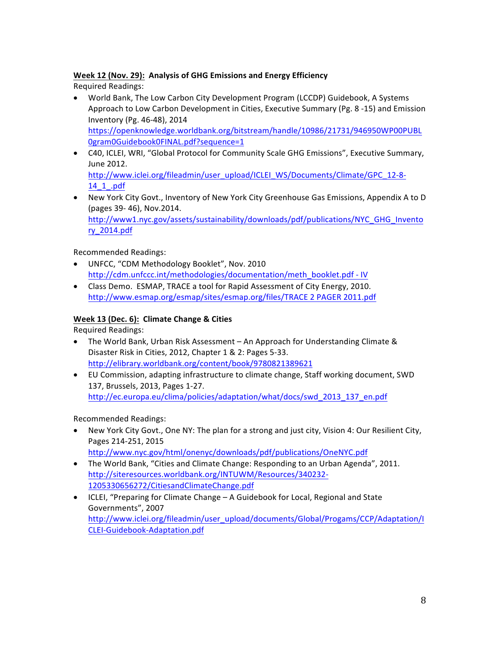## **Week 12 (Nov. 29): Analysis of GHG Emissions and Energy Efficiency**

Required Readings:

- World Bank, The Low Carbon City Development Program (LCCDP) Guidebook, A Systems Approach to Low Carbon Development in Cities, Executive Summary (Pg. 8 -15) and Emission Inventory (Pg. 46-48), 2014 https://openknowledge.worldbank.org/bitstream/handle/10986/21731/946950WP00PUBL 0gram0Guidebook0FINAL.pdf?sequence=1
- C40, ICLEI, WRI, "Global Protocol for Community Scale GHG Emissions", Executive Summary, June 2012. http://www.iclei.org/fileadmin/user\_upload/ICLEI\_WS/Documents/Climate/GPC\_12-8-

14\_1\_.pdf • New York City Govt., Inventory of New York City Greenhouse Gas Emissions, Appendix A to D (pages 39- 46), Nov.2014.

http://www1.nyc.gov/assets/sustainability/downloads/pdf/publications/NYC\_GHG\_Invento ry\_2014.pdf

Recommended Readings:

- UNFCC, "CDM Methodology Booklet", Nov. 2010 http://cdm.unfccc.int/methodologies/documentation/meth\_booklet.pdf - IV
- Class Demo. ESMAP, TRACE a tool for Rapid Assessment of City Energy, 2010. http://www.esmap.org/esmap/sites/esmap.org/files/TRACE 2 PAGER 2011.pdf

## **Week 13 (Dec. 6): Climate Change & Cities**

Required Readings:

- The World Bank, Urban Risk Assessment An Approach for Understanding Climate & Disaster Risk in Cities, 2012, Chapter 1 & 2: Pages 5-33. http://elibrary.worldbank.org/content/book/9780821389621
- EU Commission, adapting infrastructure to climate change, Staff working document, SWD 137, Brussels, 2013, Pages 1-27. http://ec.europa.eu/clima/policies/adaptation/what/docs/swd\_2013\_137\_en.pdf

Recommended Readings: 

- New York City Govt., One NY: The plan for a strong and just city, Vision 4: Our Resilient City, Pages 214-251, 2015 http://www.nyc.gov/html/onenyc/downloads/pdf/publications/OneNYC.pdf
- The World Bank, "Cities and Climate Change: Responding to an Urban Agenda", 2011. http://siteresources.worldbank.org/INTUWM/Resources/340232- 1205330656272/CitiesandClimateChange.pdf
- ICLEI, "Preparing for Climate Change A Guidebook for Local, Regional and State Governments", 2007 http://www.iclei.org/fileadmin/user\_upload/documents/Global/Progams/CCP/Adaptation/I CLEI-Guidebook-Adaptation.pdf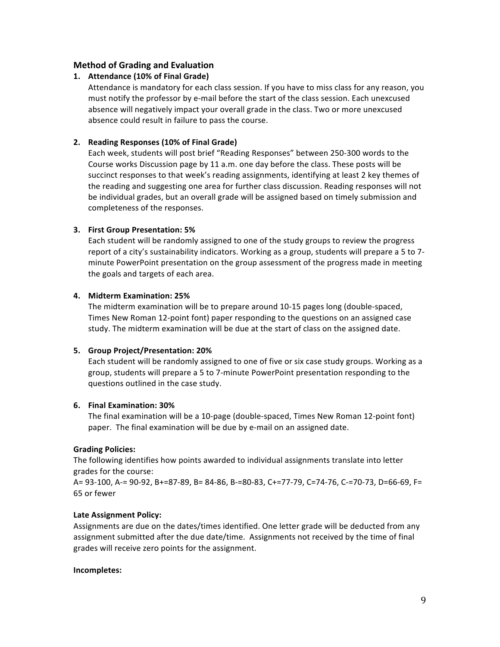### **Method of Grading and Evaluation**

### 1. **Attendance (10% of Final Grade)**

Attendance is mandatory for each class session. If you have to miss class for any reason, you must notify the professor by e-mail before the start of the class session. Each unexcused absence will negatively impact your overall grade in the class. Two or more unexcused absence could result in failure to pass the course.

### **2. Reading Responses (10% of Final Grade)**

Each week, students will post brief "Reading Responses" between 250-300 words to the Course works Discussion page by 11 a.m. one day before the class. These posts will be succinct responses to that week's reading assignments, identifying at least 2 key themes of the reading and suggesting one area for further class discussion. Reading responses will not be individual grades, but an overall grade will be assigned based on timely submission and completeness of the responses.

### **3. First Group Presentation: 5%**

Each student will be randomly assigned to one of the study groups to review the progress report of a city's sustainability indicators. Working as a group, students will prepare a 5 to 7minute PowerPoint presentation on the group assessment of the progress made in meeting the goals and targets of each area.

### **4. Midterm Examination: 25%**

The midterm examination will be to prepare around 10-15 pages long (double-spaced, Times New Roman 12-point font) paper responding to the questions on an assigned case study. The midterm examination will be due at the start of class on the assigned date.

### **5. Group Project/Presentation: 20%**

Each student will be randomly assigned to one of five or six case study groups. Working as a group, students will prepare a 5 to 7-minute PowerPoint presentation responding to the questions outlined in the case study.

### **6. Final Examination: 30%**

The final examination will be a 10-page (double-spaced, Times New Roman 12-point font) paper. The final examination will be due by e-mail on an assigned date.

### **Grading Policies:**

The following identifies how points awarded to individual assignments translate into letter grades for the course:

A= 93-100, A-= 90-92, B+=87-89, B= 84-86, B-=80-83, C+=77-79, C=74-76, C-=70-73, D=66-69, F= 65 or fewer 

### **Late Assignment Policy:**

Assignments are due on the dates/times identified. One letter grade will be deducted from any assignment submitted after the due date/time. Assignments not received by the time of final grades will receive zero points for the assignment.

### **Incompletes:**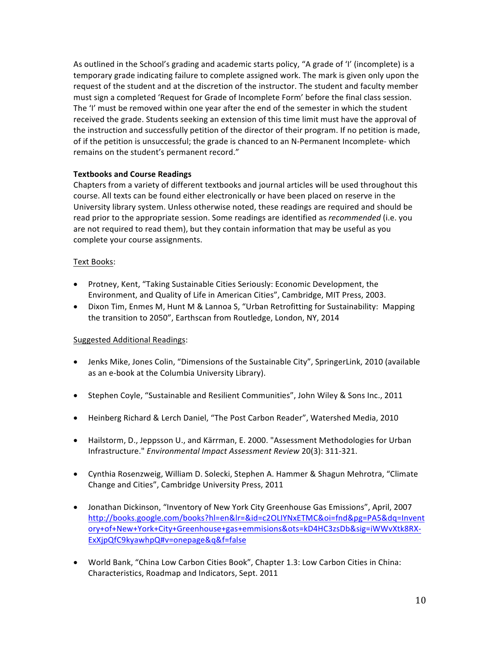As outlined in the School's grading and academic starts policy, "A grade of 'I' (incomplete) is a temporary grade indicating failure to complete assigned work. The mark is given only upon the request of the student and at the discretion of the instructor. The student and faculty member must sign a completed 'Request for Grade of Incomplete Form' before the final class session. The 'I' must be removed within one year after the end of the semester in which the student received the grade. Students seeking an extension of this time limit must have the approval of the instruction and successfully petition of the director of their program. If no petition is made, of if the petition is unsuccessful; the grade is chanced to an N-Permanent Incomplete- which remains on the student's permanent record."

### **Textbooks and Course Readings**

Chapters from a variety of different textbooks and journal articles will be used throughout this course. All texts can be found either electronically or have been placed on reserve in the University library system. Unless otherwise noted, these readings are required and should be read prior to the appropriate session. Some readings are identified as *recommended* (i.e. you are not required to read them), but they contain information that may be useful as you complete your course assignments.

### Text Books:

- Protney, Kent, "Taking Sustainable Cities Seriously: Economic Development, the Environment, and Quality of Life in American Cities", Cambridge, MIT Press, 2003.
- Dixon Tim, Enmes M, Hunt M & Lannoa S, "Urban Retrofitting for Sustainability: Mapping the transition to 2050", Earthscan from Routledge, London, NY, 2014

### Suggested Additional Readings:

- Jenks Mike, Jones Colin, "Dimensions of the Sustainable City", SpringerLink, 2010 (available as an e-book at the Columbia University Library).
- Stephen Coyle, "Sustainable and Resilient Communities", John Wiley & Sons Inc., 2011
- Heinberg Richard & Lerch Daniel, "The Post Carbon Reader", Watershed Media, 2010
- Hailstorm, D., Jeppsson U., and Kärrman, E. 2000. "Assessment Methodologies for Urban Infrastructure." *Environmental Impact Assessment Review* 20(3): 311-321.
- Cynthia Rosenzweig, William D. Solecki, Stephen A. Hammer & Shagun Mehrotra, "Climate Change and Cities", Cambridge University Press, 2011
- Jonathan Dickinson, "Inventory of New York City Greenhouse Gas Emissions", April, 2007 http://books.google.com/books?hl=en&lr=&id=c2OLIYNxETMC&oi=fnd&pg=PA5&dq=Invent ory+of+New+York+City+Greenhouse+gas+emmisions&ots=kD4HC3zsDb&sig=iWWvXtk8RX-ExXjpQfC9kyawhpQ#v=onepage&q&f=false
- World Bank, "China Low Carbon Cities Book", Chapter 1.3: Low Carbon Cities in China: Characteristics, Roadmap and Indicators, Sept. 2011